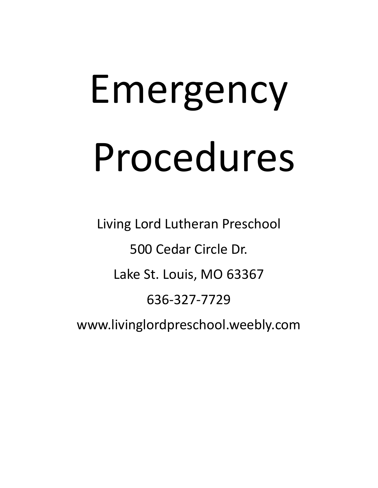# Emergency Procedures

Living Lord Lutheran Preschool 500 Cedar Circle Dr. Lake St. Louis, MO 63367 636-327-7729 www.livinglordpreschool.weebly.com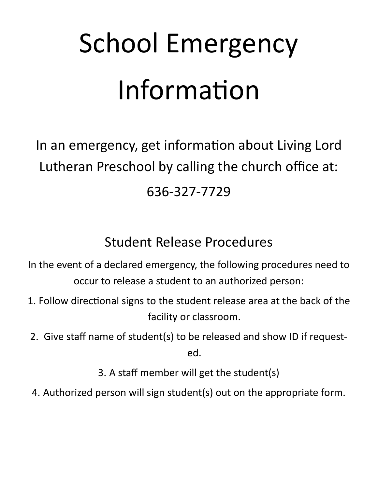## School Emergency Information

In an emergency, get information about Living Lord Lutheran Preschool by calling the church office at: 636-327-7729

### Student Release Procedures

In the event of a declared emergency, the following procedures need to occur to release a student to an authorized person:

- 1. Follow directional signs to the student release area at the back of the facility or classroom.
- 2. Give staff name of student(s) to be released and show ID if requested.

3. A staff member will get the student(s)

4. Authorized person will sign student(s) out on the appropriate form.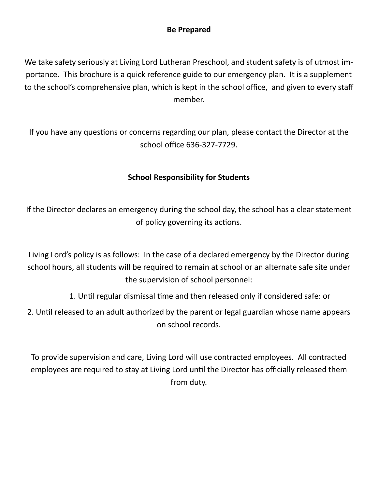#### **Be Prepared**

We take safety seriously at Living Lord Lutheran Preschool, and student safety is of utmost importance. This brochure is a quick reference guide to our emergency plan. It is a supplement to the school's comprehensive plan, which is kept in the school office, and given to every staff member.

If you have any questions or concerns regarding our plan, please contact the Director at the school office 636-327-7729.

#### **School Responsibility for Students**

If the Director declares an emergency during the school day, the school has a clear statement of policy governing its actions.

Living Lord's policy is as follows: In the case of a declared emergency by the Director during school hours, all students will be required to remain at school or an alternate safe site under the supervision of school personnel:

1. Until regular dismissal time and then released only if considered safe: or

2. Until released to an adult authorized by the parent or legal guardian whose name appears on school records.

To provide supervision and care, Living Lord will use contracted employees. All contracted employees are required to stay at Living Lord until the Director has officially released them from duty.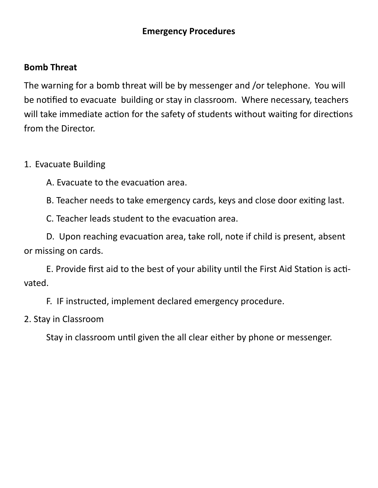#### **Emergency Procedures**

#### **Bomb Threat**

The warning for a bomb threat will be by messenger and /or telephone. You will be notified to evacuate building or stay in classroom. Where necessary, teachers will take immediate action for the safety of students without waiting for directions from the Director.

#### 1. Evacuate Building

A. Evacuate to the evacuation area.

B. Teacher needs to take emergency cards, keys and close door exiting last.

C. Teacher leads student to the evacuation area.

D. Upon reaching evacuation area, take roll, note if child is present, absent or missing on cards.

E. Provide first aid to the best of your ability until the First Aid Station is activated.

F. IF instructed, implement declared emergency procedure.

#### 2. Stay in Classroom

Stay in classroom until given the all clear either by phone or messenger.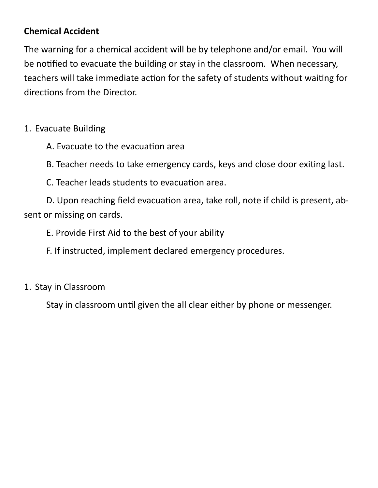#### **Chemical Accident**

The warning for a chemical accident will be by telephone and/or email. You will be notified to evacuate the building or stay in the classroom. When necessary, teachers will take immediate action for the safety of students without waiting for directions from the Director.

#### 1. Evacuate Building

A. Evacuate to the evacuation area

B. Teacher needs to take emergency cards, keys and close door exiting last.

C. Teacher leads students to evacuation area.

D. Upon reaching field evacuation area, take roll, note if child is present, absent or missing on cards.

E. Provide First Aid to the best of your ability

F. If instructed, implement declared emergency procedures.

#### 1. Stay in Classroom

Stay in classroom until given the all clear either by phone or messenger.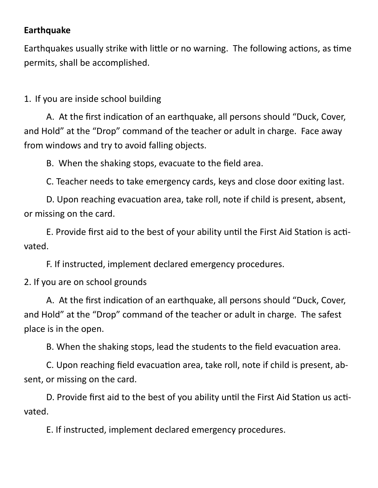#### **Earthquake**

Earthquakes usually strike with little or no warning. The following actions, as time permits, shall be accomplished.

1. If you are inside school building

A. At the first indication of an earthquake, all persons should "Duck, Cover, and Hold" at the "Drop" command of the teacher or adult in charge. Face away from windows and try to avoid falling objects.

B. When the shaking stops, evacuate to the field area.

C. Teacher needs to take emergency cards, keys and close door exiting last.

D. Upon reaching evacuation area, take roll, note if child is present, absent, or missing on the card.

E. Provide first aid to the best of your ability until the First Aid Station is activated.

F. If instructed, implement declared emergency procedures.

2. If you are on school grounds

A. At the first indication of an earthquake, all persons should "Duck, Cover, and Hold" at the "Drop" command of the teacher or adult in charge. The safest place is in the open.

B. When the shaking stops, lead the students to the field evacuation area.

C. Upon reaching field evacuation area, take roll, note if child is present, absent, or missing on the card.

D. Provide first aid to the best of you ability until the First Aid Station us activated.

E. If instructed, implement declared emergency procedures.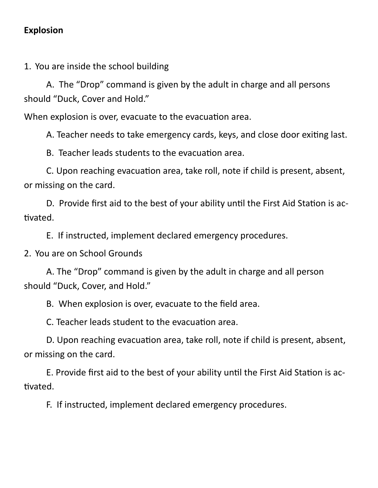#### **Explosion**

1. You are inside the school building

A. The "Drop" command is given by the adult in charge and all persons should "Duck, Cover and Hold."

When explosion is over, evacuate to the evacuation area.

A. Teacher needs to take emergency cards, keys, and close door exiting last.

B. Teacher leads students to the evacuation area.

C. Upon reaching evacuation area, take roll, note if child is present, absent, or missing on the card.

D. Provide first aid to the best of your ability until the First Aid Station is activated.

E. If instructed, implement declared emergency procedures.

2. You are on School Grounds

A. The "Drop" command is given by the adult in charge and all person should "Duck, Cover, and Hold."

B. When explosion is over, evacuate to the field area.

C. Teacher leads student to the evacuation area.

D. Upon reaching evacuation area, take roll, note if child is present, absent, or missing on the card.

E. Provide first aid to the best of your ability until the First Aid Station is activated.

F. If instructed, implement declared emergency procedures.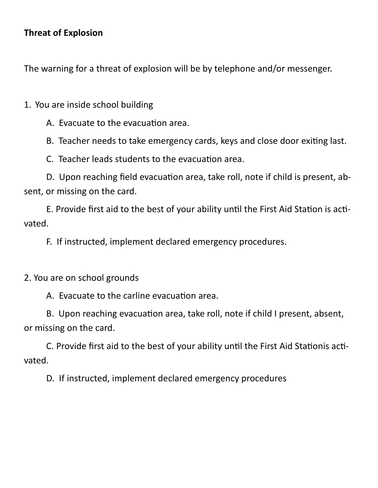#### **Threat of Explosion**

The warning for a threat of explosion will be by telephone and/or messenger.

1. You are inside school building

A. Evacuate to the evacuation area.

B. Teacher needs to take emergency cards, keys and close door exiting last.

C. Teacher leads students to the evacuation area.

D. Upon reaching field evacuation area, take roll, note if child is present, absent, or missing on the card.

E. Provide first aid to the best of your ability until the First Aid Station is activated.

F. If instructed, implement declared emergency procedures.

2. You are on school grounds

A. Evacuate to the carline evacuation area.

B. Upon reaching evacuation area, take roll, note if child I present, absent, or missing on the card.

C. Provide first aid to the best of your ability until the First Aid Stationis activated.

D. If instructed, implement declared emergency procedures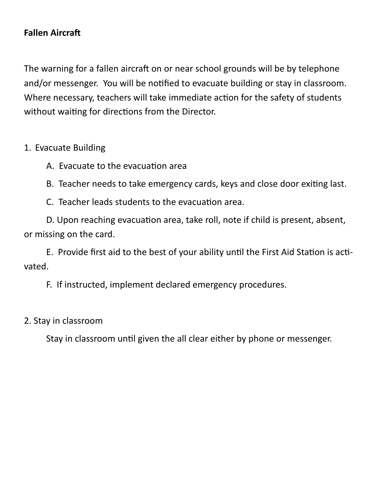#### **Fallen Aircraft**

The warning for a fallen aircraft on or near school grounds will be by telephone and/or messenger. You will be notified to evacuate building or stay in classroom. Where necessary, teachers will take immediate action for the safety of students without waiting for directions from the Director.

#### 1. Evacuate Building

- A. Evacuate to the evacuation area
- B. Teacher needs to take emergency cards, keys and close door exiting last.
- C. Teacher leads students to the evacuation area.

D. Upon reaching evacuation area, take roll, note if child is present, absent, or missing on the card.

E. Provide first aid to the best of your ability until the First Aid Station is activated.

F. If instructed, implement declared emergency procedures.

#### 2. Stay in classroom

Stay in classroom until given the all clear either by phone or messenger.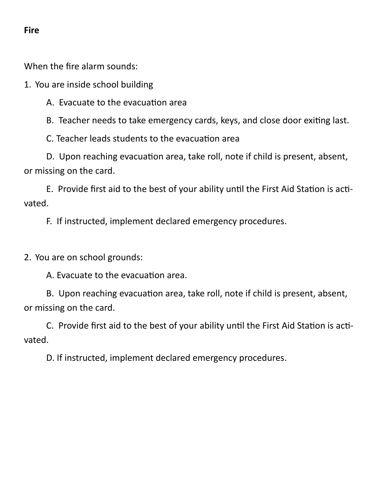#### **Fire**

When the fire alarm sounds:

1. You are inside school building

A. Evacuate to the evacuation area

B. Teacher needs to take emergency cards, keys, and close door exiting last.

C. Teacher leads students to the evacuation area

D. Upon reaching evacuation area, take roll, note if child is present, absent, or missing on the card.

E. Provide first aid to the best of your ability until the First Aid Station is activated.

F. If instructed, implement declared emergency procedures.

2. You are on school grounds:

A. Evacuate to the evacuation area.

B. Upon reaching evacuation area, take roll, note if child is present, absent, or missing on the card.

C. Provide first aid to the best of your ability until the First Aid Station is activated.

D. If instructed, implement declared emergency procedures.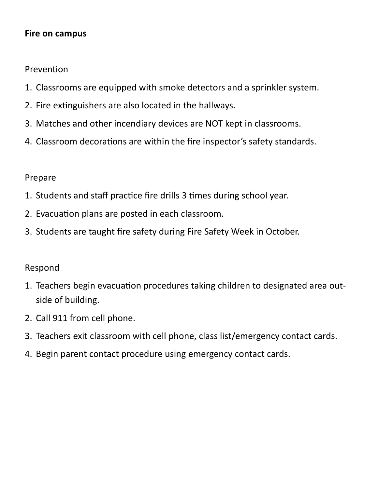#### **Fire on campus**

Prevention

- 1. Classrooms are equipped with smoke detectors and a sprinkler system.
- 2. Fire extinguishers are also located in the hallways.
- 3. Matches and other incendiary devices are NOT kept in classrooms.
- 4. Classroom decorations are within the fire inspector's safety standards.

#### Prepare

- 1. Students and staff practice fire drills 3 times during school year.
- 2. Evacuation plans are posted in each classroom.
- 3. Students are taught fire safety during Fire Safety Week in October.

- 1. Teachers begin evacuation procedures taking children to designated area outside of building.
- 2. Call 911 from cell phone.
- 3. Teachers exit classroom with cell phone, class list/emergency contact cards.
- 4. Begin parent contact procedure using emergency contact cards.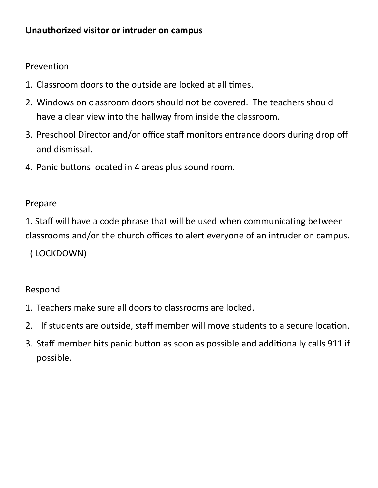#### **Unauthorized visitor or intruder on campus**

Prevention

- 1. Classroom doors to the outside are locked at all times.
- 2. Windows on classroom doors should not be covered. The teachers should have a clear view into the hallway from inside the classroom.
- 3. Preschool Director and/or office staff monitors entrance doors during drop off and dismissal.
- 4. Panic buttons located in 4 areas plus sound room.

#### Prepare

1. Staff will have a code phrase that will be used when communicating between classrooms and/or the church offices to alert everyone of an intruder on campus.

( LOCKDOWN)

- 1. Teachers make sure all doors to classrooms are locked.
- 2. If students are outside, staff member will move students to a secure location.
- 3. Staff member hits panic button as soon as possible and additionally calls 911 if possible.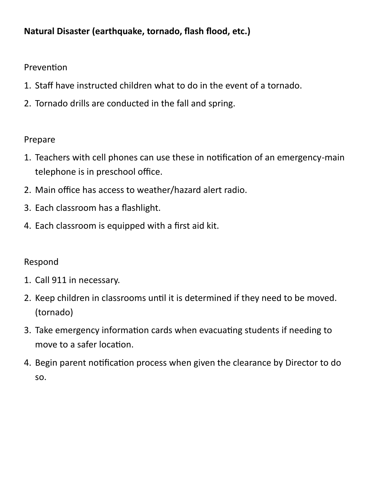#### **Natural Disaster (earthquake, tornado, flash flood, etc.)**

#### Prevention

- 1. Staff have instructed children what to do in the event of a tornado.
- 2. Tornado drills are conducted in the fall and spring.

#### Prepare

- 1. Teachers with cell phones can use these in notification of an emergency-main telephone is in preschool office.
- 2. Main office has access to weather/hazard alert radio.
- 3. Each classroom has a flashlight.
- 4. Each classroom is equipped with a first aid kit.

- 1. Call 911 in necessary.
- 2. Keep children in classrooms until it is determined if they need to be moved. (tornado)
- 3. Take emergency information cards when evacuating students if needing to move to a safer location.
- 4. Begin parent notification process when given the clearance by Director to do so.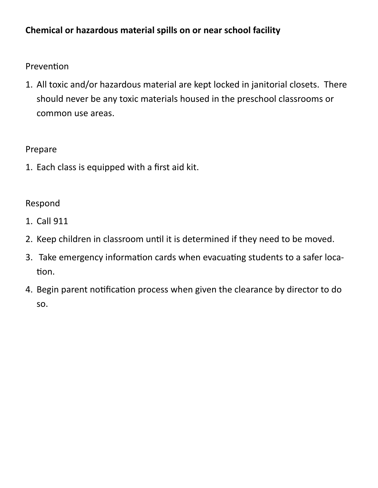#### **Chemical or hazardous material spills on or near school facility**

#### Prevention

1. All toxic and/or hazardous material are kept locked in janitorial closets. There should never be any toxic materials housed in the preschool classrooms or common use areas.

#### Prepare

1. Each class is equipped with a first aid kit.

- 1. Call 911
- 2. Keep children in classroom until it is determined if they need to be moved.
- 3. Take emergency information cards when evacuating students to a safer location.
- 4. Begin parent notification process when given the clearance by director to do so.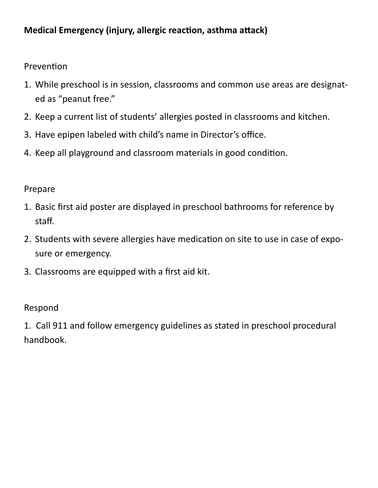#### **Medical Emergency (injury, allergic reaction, asthma attack)**

Prevention

- 1. While preschool is in session, classrooms and common use areas are designated as "peanut free."
- 2. Keep a current list of students' allergies posted in classrooms and kitchen.
- 3. Have epipen labeled with child's name in Director's office.
- 4. Keep all playground and classroom materials in good condition.

#### Prepare

- 1. Basic first aid poster are displayed in preschool bathrooms for reference by staff.
- 2. Students with severe allergies have medication on site to use in case of exposure or emergency.
- 3. Classrooms are equipped with a first aid kit.

#### Respond

1. Call 911 and follow emergency guidelines as stated in preschool procedural handbook.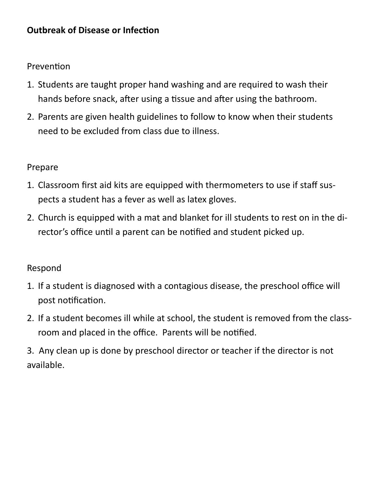#### **Outbreak of Disease or Infection**

#### Prevention

- 1. Students are taught proper hand washing and are required to wash their hands before snack, after using a tissue and after using the bathroom.
- 2. Parents are given health guidelines to follow to know when their students need to be excluded from class due to illness.

#### Prepare

- 1. Classroom first aid kits are equipped with thermometers to use if staff suspects a student has a fever as well as latex gloves.
- 2. Church is equipped with a mat and blanket for ill students to rest on in the director's office until a parent can be notified and student picked up.

- 1. If a student is diagnosed with a contagious disease, the preschool office will post notification.
- 2. If a student becomes ill while at school, the student is removed from the classroom and placed in the office. Parents will be notified.
- 3. Any clean up is done by preschool director or teacher if the director is not available.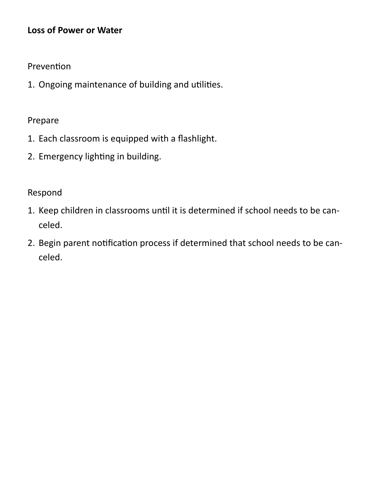#### **Loss of Power or Water**

#### Prevention

1. Ongoing maintenance of building and utilities.

#### Prepare

- 1. Each classroom is equipped with a flashlight.
- 2. Emergency lighting in building.

- 1. Keep children in classrooms until it is determined if school needs to be canceled.
- 2. Begin parent notification process if determined that school needs to be canceled.